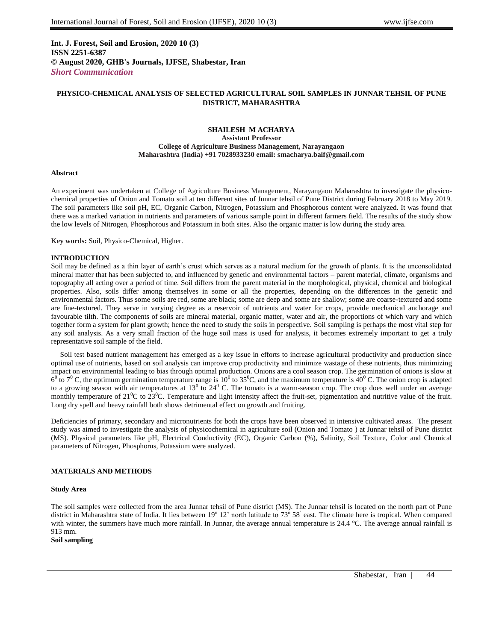**Int. J. Forest, Soil and Erosion, 2020 10 (3) ISSN 2251-6387 © August 2020, GHB's Journals, IJFSE, Shabestar, Iran** *Short Communication*

# **PHYSICO-CHEMICAL ANALYSIS OF SELECTED AGRICULTURAL SOIL SAMPLES IN JUNNAR TEHSIL OF PUNE DISTRICT, MAHARASHTRA**

### **SHAILESH M ACHARYA Assistant Professor College of Agriculture Business Management, Narayangaon Maharashtra (India) +91 7028933230 email: smacharya.baif@gmail.com**

### **Abstract**

An experiment was undertaken at College of Agriculture Business Management, Narayangaon Maharashtra to investigate the physicochemical properties of Onion and Tomato soil at ten different sites of Junnar tehsil of Pune District during February 2018 to May 2019. The soil parameters like soil pH, EC, Organic Carbon, Nitrogen, Potassium and Phosphorous content were analyzed. It was found that there was a marked variation in nutrients and parameters of various sample point in different farmers field. The results of the study show the low levels of Nitrogen, Phosphorous and Potassium in both sites. Also the organic matter is low during the study area.

**Key words:** Soil, Physico-Chemical, Higher.

## **INTRODUCTION**

Soil may be defined as a thin layer of earth's crust which serves as a natural medium for the growth of plants. It is the unconsolidated mineral matter that has been subjected to, and influenced by genetic and environmental factors – parent material, climate, organisms and topography all acting over a period of time. Soil differs from the parent material in the morphological, physical, chemical and biological properties. Also, soils differ among themselves in some or all the properties, depending on the differences in the genetic and environmental factors. Thus some soils are red, some are black; some are deep and some are shallow; some are coarse-textured and some are fine-textured. They serve in varying degree as a reservoir of nutrients and water for crops, provide mechanical anchorage and favourable tilth. The components of soils are mineral material, organic matter, water and air, the proportions of which vary and which together form a system for plant growth; hence the need to study the soils in perspective. Soil sampling is perhaps the most vital step for any soil analysis. As a very small fraction of the huge soil mass is used for analysis, it becomes extremely important to get a truly representative soil sample of the field.

 Soil test based nutrient management has emerged as a key issue in efforts to increase agricultural productivity and production since optimal use of nutrients, based on soil analysis can improve crop productivity and minimize wastage of these nutrients, thus minimizing impact on environmental leading to bias through optimal production. Onions are a cool season crop. The germination of onions is slow at  $6^0$  to  $7^0$  C, the optimum germination temperature range is  $10^0$  to 35<sup>0</sup>C, and the maximum temperature is  $40^0$  C. The onion crop is adapted to a growing season with air temperatures at  $13^0$  to  $24^0$  C. The tomato is a warm-season crop. The crop does well under an average monthly temperature of  $21^{\circ}$ C to  $23^{\circ}$ C. Temperature and light intensity affect the fruit-set, pigmentation and nutritive value of the fruit. Long dry spell and heavy rainfall both shows detrimental effect on growth and fruiting.

Deficiencies of primary, secondary and micronutrients for both the crops have been observed in intensive cultivated areas. The present study was aimed to investigate the analysis of physicochemical in agriculture soil (Onion and Tomato ) at Junnar tehsil of Pune district (MS). Physical parameters like pH, Electrical Conductivity (EC), Organic Carbon (%), Salinity, Soil Texture, Color and Chemical parameters of Nitrogen, Phosphorus, Potassium were analyzed.

## **MATERIALS AND METHODS**

### **Study Area**

The soil samples were collected from the area Junnar tehsil of Pune district (MS). The Junnar tehsil is located on the north part of Pune district in Maharashtra state of India. It lies between  $19^{\circ} 12'$  north latitude to  $73^{\circ} 58'$  east. The climate here is tropical. When compared with winter, the summers have much more rainfall. In Junnar, the average annual temperature is 24.4 °C. The average annual rainfall is 913 mm.

**Soil sampling**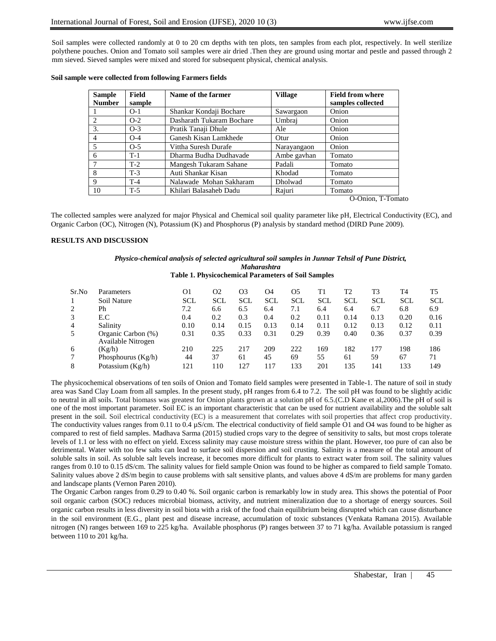Soil samples were collected randomly at 0 to 20 cm depths with ten plots, ten samples from each plot, respectively. In well sterilize polythene pouches. Onion and Tomato soil samples were air dried .Then they are ground using mortar and pestle and passed through 2 mm sieved. Sieved samples were mixed and stored for subsequent physical, chemical analysis.

| Sample<br><b>Number</b> | <b>Field</b><br>sample | Name of the farmer        | <b>Village</b> | <b>Field from where</b><br>samples collected |  |  |
|-------------------------|------------------------|---------------------------|----------------|----------------------------------------------|--|--|
|                         | $O-1$                  | Shankar Kondaji Bochare   | Sawargaon      | Onion                                        |  |  |
| 2                       | $O-2$                  | Dasharath Tukaram Bochare | Umbraj         | Onion                                        |  |  |
| 3.                      | $O-3$                  | Pratik Tanaji Dhule       | Ale            | Onion                                        |  |  |
| 4                       | $O-4$                  | Ganesh Kisan Lamkhede     | Otur           | Onion                                        |  |  |
| $\overline{5}$          | $O-5$                  | Vittha Suresh Durafe      | Narayangaon    | Onion                                        |  |  |
| 6                       | $T-1$                  | Dharma Budha Dudhavade    | Ambe gavhan    | Tomato                                       |  |  |
| 7                       | $T-2$                  | Mangesh Tukaram Sahane    | Padali         | Tomato                                       |  |  |
| 8                       | $T-3$                  | Auti Shankar Kisan        | Khodad         | Tomato                                       |  |  |
| 9                       | $T-4$                  | Nalawade Mohan Sakharam   | Dholwad        | Tomato                                       |  |  |
| 10                      | $T-5$                  | Khilari Balasaheb Dadu    | Rajuri         | Tomato<br>$\sim$ $\sim$ $\cdot$<br>$ -$      |  |  |

## **Soil sample were collected from following Farmers fields**

O-Onion, T-Tomato

The collected samples were analyzed for major Physical and Chemical soil quality parameter like pH, Electrical Conductivity (EC), and Organic Carbon (OC), Nitrogen (N), Potassium (K) and Phosphorus (P) analysis by standard method (DIRD Pune 2009).

#### **RESULTS AND DISCUSSION**

## *Physico-chemical analysis of selected agricultural soil samples in Junnar Tehsil of Pune District, Maharashtra*

**Table 1. Physicochemical Parameters of Soil Samples**

| Sr.No | Parameters                               | O1         | O <sub>2</sub> | O3         | O4         | O5         | Tì         | T2         | T3         | T4         | Т5         |
|-------|------------------------------------------|------------|----------------|------------|------------|------------|------------|------------|------------|------------|------------|
|       | Soil Nature                              | <b>SCL</b> | <b>SCL</b>     | <b>SCL</b> | <b>SCL</b> | <b>SCL</b> | <b>SCL</b> | <b>SCL</b> | <b>SCL</b> | <b>SCL</b> | <b>SCL</b> |
|       | Ph                                       | 7.2        | 6.6            | 6.5        | 6.4        | 7.1        | 6.4        | 6.4        | 6.7        | 6.8        | 6.9        |
|       | E.C                                      | 0.4        | 0.2            | 0.3        | 0.4        | 0.2        | 0.11       | 0.14       | 0.13       | 0.20       | 0.16       |
| 4     | Salinity                                 | 0.10       | 0.14           | 0.15       | 0.13       | 0.14       | 0.11       | 0.12       | 0.13       | 0.12       | 0.11       |
|       | Organic Carbon (%)<br>Available Nitrogen | 0.31       | 0.35           | 0.33       | 0.31       | 0.29       | 0.39       | 0.40       | 0.36       | 0.37       | 0.39       |
| 6     | (Kg/h)                                   | 210        | 225            | 217        | 209        | 222        | 169        | 182        | 177        | 198        | 186        |
|       | Phosphourus $(Kg/h)$                     | 44         | 37             | 61         | 45         | 69         | 55         | 61         | 59         | 67         | 71         |
| 8     | Potassium $(Kg/h)$                       | 121        | 110            | 127        | . 17       | 133        | 201        | 135        | 141        | 133        | 149        |

The physicochemical observations of ten soils of Onion and Tomato field samples were presented in Table-1. The nature of soil in study area was Sand Clay Loam from all samples. In the present study, pH ranges from 6.4 to 7.2. The soil pH was found to be slightly acidic to neutral in all soils. Total biomass was greatest for Onion plants grown at a solution pH of 6.5.(C.D Kane et al,2006).The pH of soil is one of the most important parameter. Soil EC is an important characteristic that can be used for nutrient availability and the soluble salt present in the soil. Soil electrical conductivity (EC) is a measurement that correlates with soil properties that affect crop productivity. The conductivity values ranges from 0.11 to 0.4  $\mu$ S/cm. The electrical conductivity of field sample O1 and O4 was found to be higher as compared to rest of field samples. Madhava Sarma (2015) studied crops vary to the degree of sensitivity to salts, but most crops tolerate levels of 1.1 or less with no effect on yield. Excess salinity may cause moisture stress within the plant. However, too pure of can also be detrimental. Water with too few salts can lead to surface soil dispersion and soil crusting. Salinity is a measure of the total amount of soluble salts in soil. As soluble salt levels increase, it becomes more difficult for plants to extract water from soil. The salinity values ranges from 0.10 to 0.15 dS/cm. The salinity values for field sample Onion was found to be higher as compared to field sample Tomato. Salinity values above 2 dS/m begin to cause problems with salt sensitive plants, and values above 4 dS/m are problems for many garden and landscape plants (Vernon Paren 2010).

The Organic Carbon ranges from 0.29 to 0.40 %. Soil organic carbon is remarkably low in study area. This shows the potential of Poor soil organic carbon (SOC) reduces microbial biomass, activity, and nutrient mineralization due to a shortage of energy sources. Soil organic carbon results in less diversity in soil biota with a risk of the food chain equilibrium being disrupted which can cause disturbance in the soil environment (E.G., plant pest and disease increase, accumulation of toxic substances (Venkata Ramana 2015). Available nitrogen (N) ranges between 169 to 225 kg/ha. Available phosphorus (P) ranges between 37 to 71 kg/ha. Available potassium is ranged between 110 to 201 kg/ha.